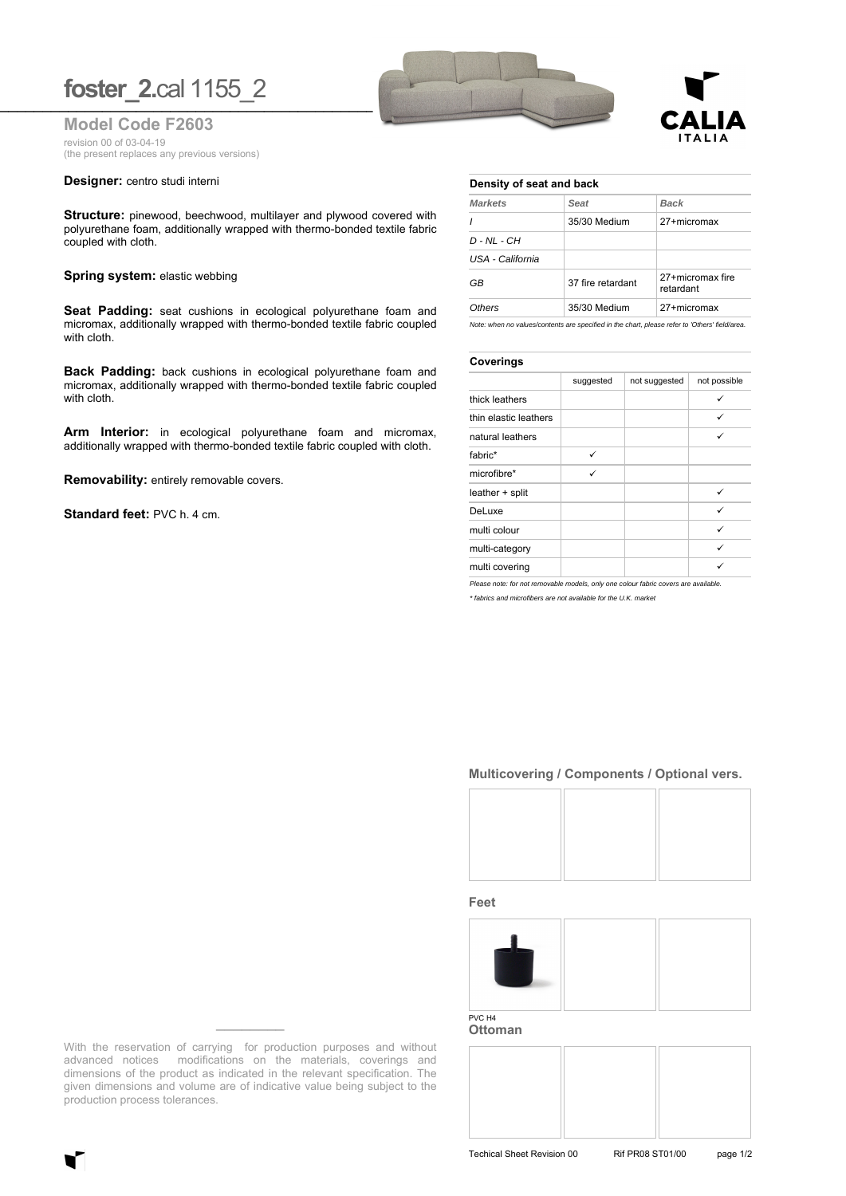## **foster\_2.cal 1155\_2**

**Model Code F2603** revision 00 of 03-04-19 (the present replaces any previous versions)

#### **Designer:** centro studi interni

**Structure:** pinewood, beechwood, multilayer and plywood covered with polyurethane foam, additionally wrapped with thermo-bonded textile fabric coupled with cloth.

#### **Spring system: elastic webbing**

**Seat Padding:** seat cushions in ecological polyurethane foam and micromax, additionally wrapped with thermo-bonded textile fabric coupled with cloth.

**Back Padding:** back cushions in ecological polyurethane foam and micromax, additionally wrapped with thermo-bonded textile fabric coupled with cloth.

**Arm Interior:** in ecological polyurethane foam and micromax, additionally wrapped with thermo-bonded textile fabric coupled with cloth.

**Removability:** entirely removable covers.

**Standard feet:** PVC h. 4 cm.





### **Density of seat and back**

| <b>Markets</b>    | Seat              | <b>Back</b><br>27+micromax    |  |
|-------------------|-------------------|-------------------------------|--|
|                   | 35/30 Medium      |                               |  |
| $D$ - $NL$ - $CH$ |                   |                               |  |
| USA - California  |                   |                               |  |
| GB                | 37 fire retardant | 27+micromax fire<br>retardant |  |
| Others            | 35/30 Medium      | 27+micromax                   |  |

*Note: when no values/contents are specified in the chart, please refer to 'Others' field/area.*

#### **Coverings**

|                       | suggested | not suggested | not possible |
|-----------------------|-----------|---------------|--------------|
| thick leathers        |           |               | $\checkmark$ |
| thin elastic leathers |           |               | ✓            |
| natural leathers      |           |               | ✓            |
| fabric*               | ✓         |               |              |
| microfibre*           | ✓         |               |              |
| leather + split       |           |               | ✓            |
| DeLuxe                |           |               | $\checkmark$ |
| multi colour          |           |               | ✓            |
| multi-category        |           |               | ✓            |
| multi covering        |           |               |              |

*Please note: for not removable models, only one colour fabric covers are available. \* fabrics and microfibers are not available for the U.K. market*

### **Multicovering / Components / Optional vers.**



**Feet**



**Ottoman**



With the reservation of carrying for production purposes and without advanced notices modifications on the materials, coverings and dimensions of the product as indicated in the relevant specification. The given dimensions and volume are of indicative value being subject to the production process tolerances.